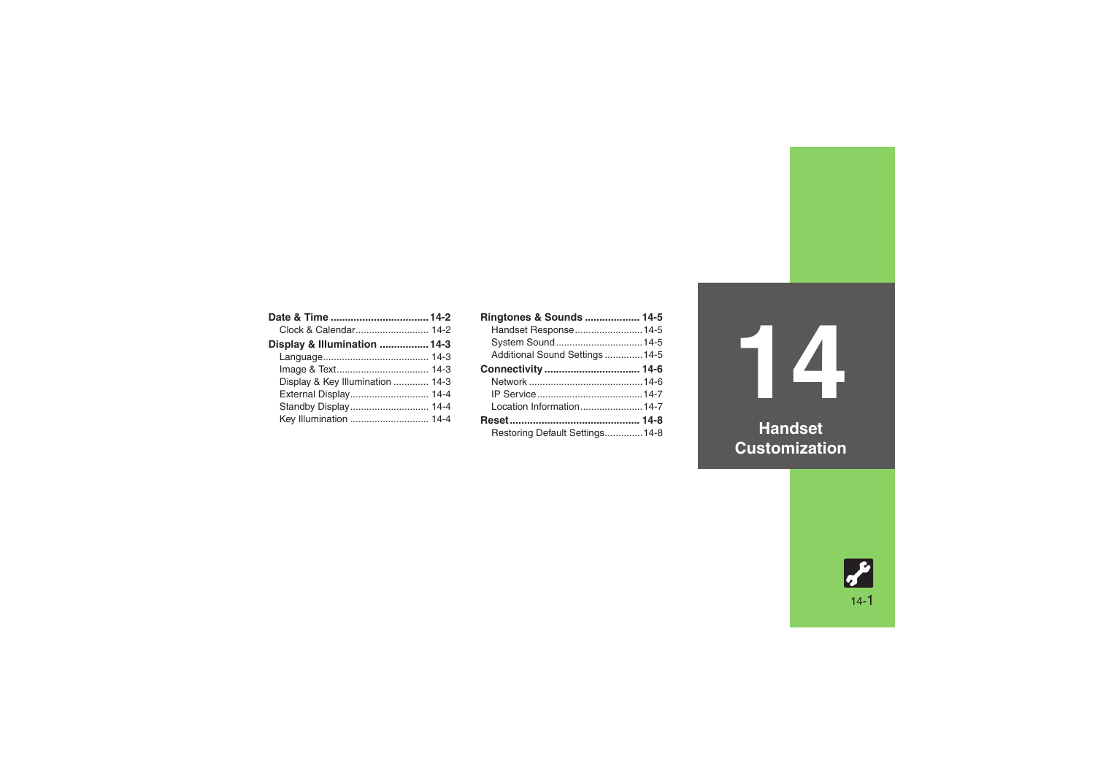| Clock & Calendar 14-2            |  |
|----------------------------------|--|
| Display & Illumination  14-3     |  |
|                                  |  |
|                                  |  |
| Display & Key Illumination  14-3 |  |
| External Display 14-4            |  |
| Standby Display 14-4             |  |
| Key Illumination  14-4           |  |

| Ringtones & Sounds  14-5        |  |
|---------------------------------|--|
| Handset Response 14-5           |  |
| System Sound 14-5               |  |
| Additional Sound Settings  14-5 |  |
|                                 |  |
|                                 |  |
|                                 |  |
| Location Information14-7        |  |
|                                 |  |
| Restoring Default Settings14-8  |  |

**14**

**Handset Customization**

14-1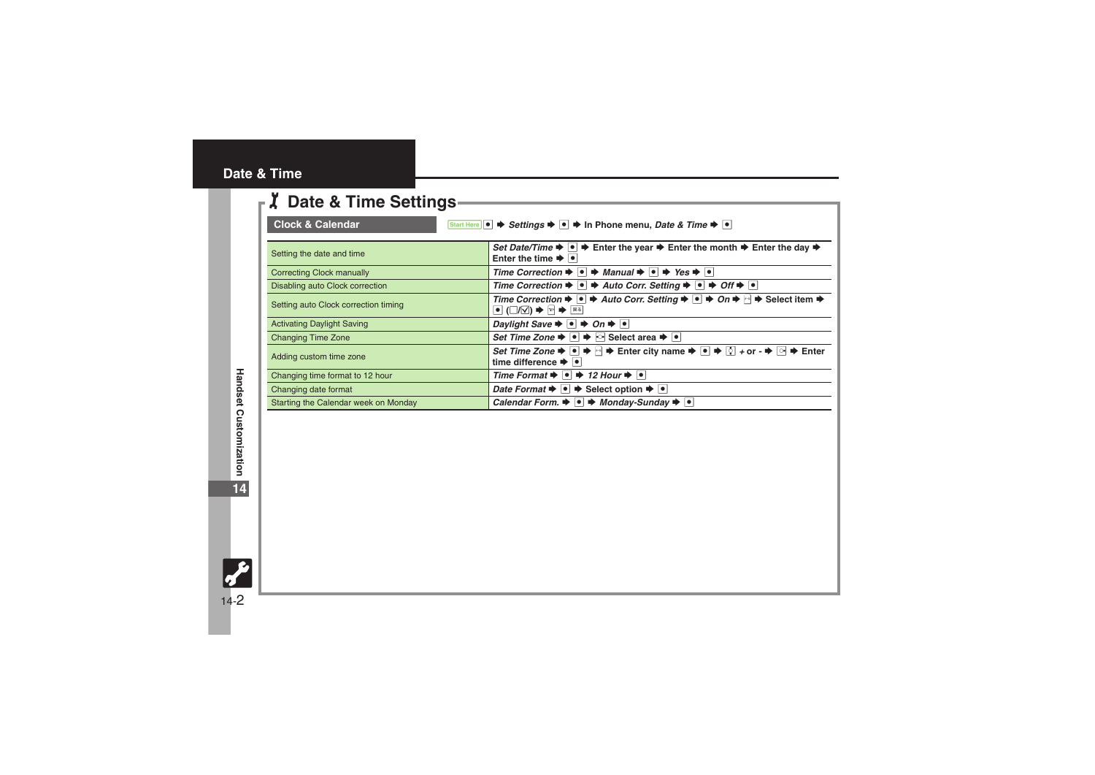## <span id="page-1-0"></span>**Date & Time**

<span id="page-1-1"></span>

| <b>Z</b> Date & Time Settings                                                                                                                   |                                                                                                                                                                                                                                                                                                                   |
|-------------------------------------------------------------------------------------------------------------------------------------------------|-------------------------------------------------------------------------------------------------------------------------------------------------------------------------------------------------------------------------------------------------------------------------------------------------------------------|
| <b>Clock &amp; Calendar</b><br>Start Here $\bullet \Rightarrow$ Settings $\bullet \bullet \bullet$ In Phone menu, Date & Time $\bullet \bullet$ |                                                                                                                                                                                                                                                                                                                   |
| Setting the date and time                                                                                                                       | Set Date/Time $\blacktriangleright \blacktriangleright$ $\blacktriangleright$ Enter the year $\blacktriangleright$ Enter the month $\blacktriangleright$ Enter the day $\blacktriangleright$<br>Enter the time $\blacktriangleright$ $\blacktriangleright$                                                        |
| <b>Correcting Clock manually</b>                                                                                                                | Time Correction $\Rightarrow$ $\bullet$ $\Rightarrow$ Manual $\Rightarrow$ $\bullet$ Yes $\Rightarrow$ $\bullet$                                                                                                                                                                                                  |
| Disabling auto Clock correction                                                                                                                 | Time Correction $\Rightarrow$ $\bullet$ $\Rightarrow$ Auto Corr. Setting $\Rightarrow$ $\bullet$ $\Rightarrow$ Off $\Rightarrow$ $\circ$                                                                                                                                                                          |
| Setting auto Clock correction timing                                                                                                            | Time Correction $\blacktriangleright \lnot \blacktriangleright$ Auto Corr. Setting $\blacktriangleright \lnot \blacktriangleright$ On $\blacktriangleright \lnot \blacktriangleright$ Select item $\blacktriangleright$<br>$\bullet$ ( $\Box/\Box$ ) $\blacktriangleright$ $\boxdot$ $\blacktriangleright$ $\Box$ |
| <b>Activating Daylight Saving</b>                                                                                                               | Daylight Save $\rightarrow \bullet \rightarrow$ On $\rightarrow \bullet$                                                                                                                                                                                                                                          |
| <b>Changing Time Zone</b>                                                                                                                       | Set Time Zone $\blacktriangleright \lceil \bullet \rceil$ $\blacktriangleright$ $\lceil \circ \rceil$ Select area $\blacktriangleright \lceil \bullet \rceil$                                                                                                                                                     |
| Adding custom time zone                                                                                                                         | Set Time Zone $\Rightarrow \bullet \Rightarrow \Rightarrow$ Enter city name $\Rightarrow \bullet \Rightarrow \Diamond + \circ \bullet \Rightarrow \Rightarrow$ Enter<br>time difference $\blacktriangleright$ $\blacktriangleright$                                                                               |
| Changing time format to 12 hour                                                                                                                 | Time Format $\blacktriangleright$ $\blacktriangleright$ $\blacktriangleright$ 12 Hour $\blacktriangleright$ $\blacktriangleright$ $\blacktriangleright$                                                                                                                                                           |
| Changing date format                                                                                                                            | Date Format $\blacktriangleright \lnot \blacktriangleright$ Select option $\blacktriangleright \lnot$                                                                                                                                                                                                             |
| Starting the Calendar week on Monday                                                                                                            | Calendar Form. $\rightarrow \rightarrow$ Monday-Sunday $\rightarrow \rightarrow$                                                                                                                                                                                                                                  |

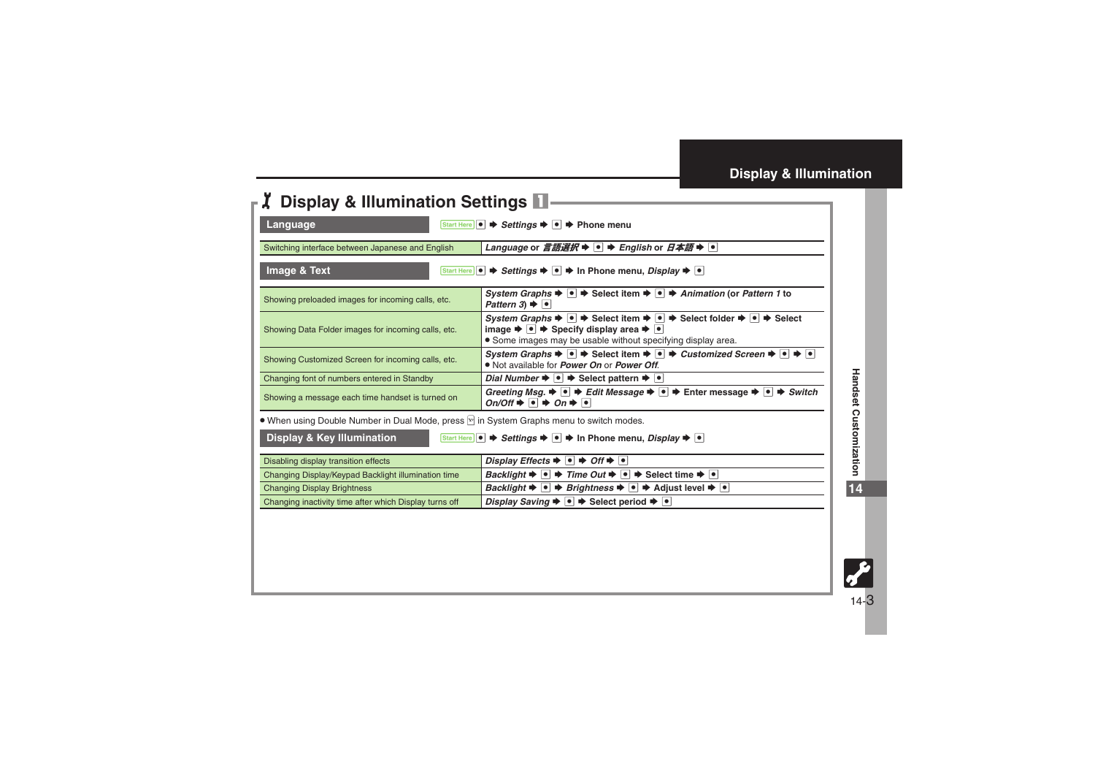<span id="page-2-3"></span><span id="page-2-2"></span><span id="page-2-1"></span>

| Language                                                                                                                                                                            | Start Here $\left  \bullet \right $ $\Rightarrow$ Settings $\Rightarrow$ $\left  \bullet \right $ $\Rightarrow$ Phone menu                                                                                                                                                                                                                           |
|-------------------------------------------------------------------------------------------------------------------------------------------------------------------------------------|------------------------------------------------------------------------------------------------------------------------------------------------------------------------------------------------------------------------------------------------------------------------------------------------------------------------------------------------------|
| Language or 言語選択 $\blacktriangleright$  ●   $\blacktriangleright$ English or $\exists \mathcal{A}$ 語 $\blacktriangleright$  ●  <br>Switching interface between Japanese and English |                                                                                                                                                                                                                                                                                                                                                      |
| Image & Text<br>Start Here                                                                                                                                                          | <b><math>\rightarrow</math> Settings <math>\rightarrow</math>  <math>\bullet</math></b>   $\rightarrow$  n Phone menu, <i>Display</i> $\rightarrow$   $\bullet$                                                                                                                                                                                      |
| Showing preloaded images for incoming calls, etc.                                                                                                                                   | System Graphs $\blacktriangleright \lnot \blacktriangleright$ Select item $\blacktriangleright \lnot \blacktriangleright$ Animation (or Pattern 1 to<br>Pattern $3 \rightarrow \Box$                                                                                                                                                                 |
| Showing Data Folder images for incoming calls, etc.                                                                                                                                 | System Graphs $\Rightarrow \bullet$ $\Rightarrow$ Select item $\Rightarrow \bullet$ Select folder $\Rightarrow \bullet$ Select<br>image $\blacktriangleright \lnot \blacktriangleright$ Specify display area $\blacktriangleright \lnot$<br>• Some images may be usable without specifying display area.                                             |
| Showing Customized Screen for incoming calls, etc.                                                                                                                                  | System Graphs $\blacktriangleright$ $\blacktriangleright$ $\blacktriangleright$ Select item $\blacktriangleright$ $\blacktriangleright$ $\blacktriangleright$ Customized Screen $\blacktriangleright$ $\blacktriangleright$ $\blacktriangleright$<br>. Not available for <i>Power On</i> or <i>Power Off.</i>                                        |
| Changing font of numbers entered in Standby                                                                                                                                         | Dial Number $\rightarrow \mid \bullet \mid \bullet \rangle$ Select pattern $\rightarrow \mid \bullet \mid$                                                                                                                                                                                                                                           |
| Showing a message each time handset is turned on                                                                                                                                    | Greeting Msg. $\blacktriangleright$ $\blacktriangleright$ $\blacktriangleright$ Edit Message $\blacktriangleright$ $\blacktriangleright$ $\blacktriangleright$ Enter message $\blacktriangleright$ $\blacktriangleright$ $\blacktriangleright$ Switch<br>$On/Off \rightarrow \lceil \bullet \rceil \rightarrow On \rightarrow \lceil \bullet \rceil$ |
| ● When using Double Number in Dual Mode, press [9] in System Graphs menu to switch modes.                                                                                           |                                                                                                                                                                                                                                                                                                                                                      |
| <b>Display &amp; Key Illumination</b><br>Start Here $\bullet \bullet$ Settings $\bullet \bullet$ $\bullet$ In Phone menu, Display $\bullet \bullet$                                 |                                                                                                                                                                                                                                                                                                                                                      |
| Disabling display transition effects                                                                                                                                                | Display Effects $\blacktriangleright$ $\blacktriangleright$ $\blacktriangleright$ Off $\blacktriangleright$ $\blacktriangleright$                                                                                                                                                                                                                    |
| Changing Display/Keypad Backlight illumination time                                                                                                                                 | <i>Backlight</i> $\rightarrow \blacksquare$ → <i>Time Out</i> $\rightarrow \blacksquare$ → Select time $\rightarrow \blacksquare$                                                                                                                                                                                                                    |
| <b>Changing Display Brightness</b>                                                                                                                                                  | Backlight $\rightarrow \bullet$ <b>Brightness</b> $\rightarrow \bullet$ <b>Adjust level <math>\rightarrow \bullet</math></b>                                                                                                                                                                                                                         |
| Changing inactivity time after which Display turns off                                                                                                                              | Display Saving $\blacktriangleright \lceil \bullet \rceil$ $\blacktriangleright$ Select period $\blacktriangleright \lceil \bullet \rceil$                                                                                                                                                                                                           |

<span id="page-2-0"></span>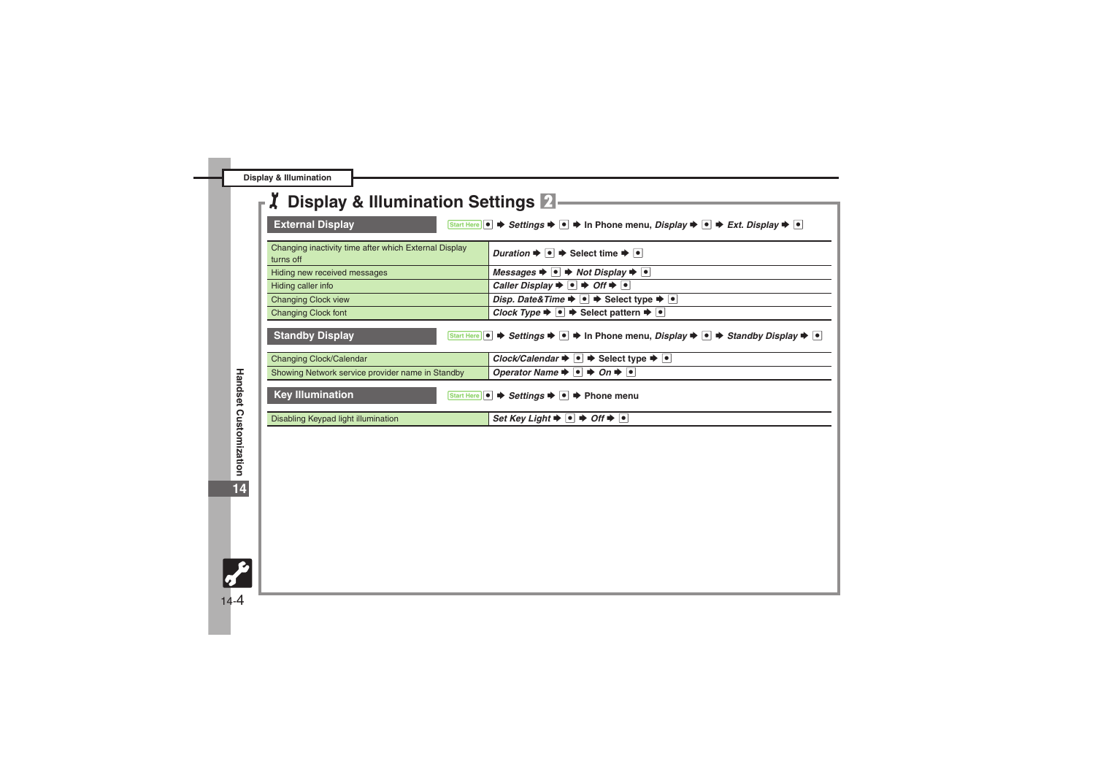**Display & Illumination**

<span id="page-3-1"></span><span id="page-3-0"></span>

| <b>Z</b> Display & Illumination Settings 2                                                                                                                                 |                                                                                                                                                                                      |
|----------------------------------------------------------------------------------------------------------------------------------------------------------------------------|--------------------------------------------------------------------------------------------------------------------------------------------------------------------------------------|
|                                                                                                                                                                            |                                                                                                                                                                                      |
| <b>External Display</b><br>Start Here $\bullet \bullet$ Settings $\bullet \bullet \bullet$ In Phone menu, Display $\bullet \bullet \bullet$ Ext. Display $\bullet \bullet$ |                                                                                                                                                                                      |
| Changing inactivity time after which External Display                                                                                                                      |                                                                                                                                                                                      |
| turns off                                                                                                                                                                  | Duration $\Rightarrow \bullet \Rightarrow$ Select time $\Rightarrow \bullet$                                                                                                         |
| Hiding new received messages                                                                                                                                               | Messages $\blacktriangleright$ $\blacktriangleright$ $\blacktriangleright$ Not Display $\blacktriangleright$ $\blacktriangleright$                                                   |
| Hiding caller info                                                                                                                                                         | Caller Display $\bullet$ $\bullet$ $\bullet$ Off $\bullet$ $\bullet$                                                                                                                 |
| <b>Changing Clock view</b>                                                                                                                                                 | Disp. Date& Time $\blacktriangleright \lnot \blacktriangleright$ Select type $\blacktriangleright \lnot$                                                                             |
| <b>Changing Clock font</b>                                                                                                                                                 | Clock Type $\blacktriangleright \lceil \bullet \rceil$ $\blacktriangleright$ Select pattern $\blacktriangleright \lceil \bullet \rceil$                                              |
| <b>Standby Display</b>                                                                                                                                                     | Start Here $  \bullet   \Rightarrow$ Settings $\Rightarrow  \bullet  \Rightarrow$ In Phone menu, Display $\Rightarrow  \bullet  \Rightarrow$ Standby Display $\Rightarrow  \bullet $ |
| Changing Clock/Calendar                                                                                                                                                    | Clock/Calendar $\blacktriangleright \lceil \bullet \rceil$ $\blacktriangleright$ Select type $\blacktriangleright \lceil \bullet \rceil$                                             |
| Showing Network service provider name in Standby                                                                                                                           | Operator Name $\Rightarrow$ $\bullet$ $\Rightarrow$ On $\Rightarrow$ $\bullet$                                                                                                       |
| <b>Key Illumination</b>                                                                                                                                                    | Start Here   ●   → Settings →   ●   → Phone menu                                                                                                                                     |
| Disabling Keypad light illumination                                                                                                                                        | Set Key Light $\blacktriangleright$ $ \bullet  \Rightarrow$ Off $\blacktriangleright$ $ \bullet $                                                                                    |

<span id="page-3-2"></span>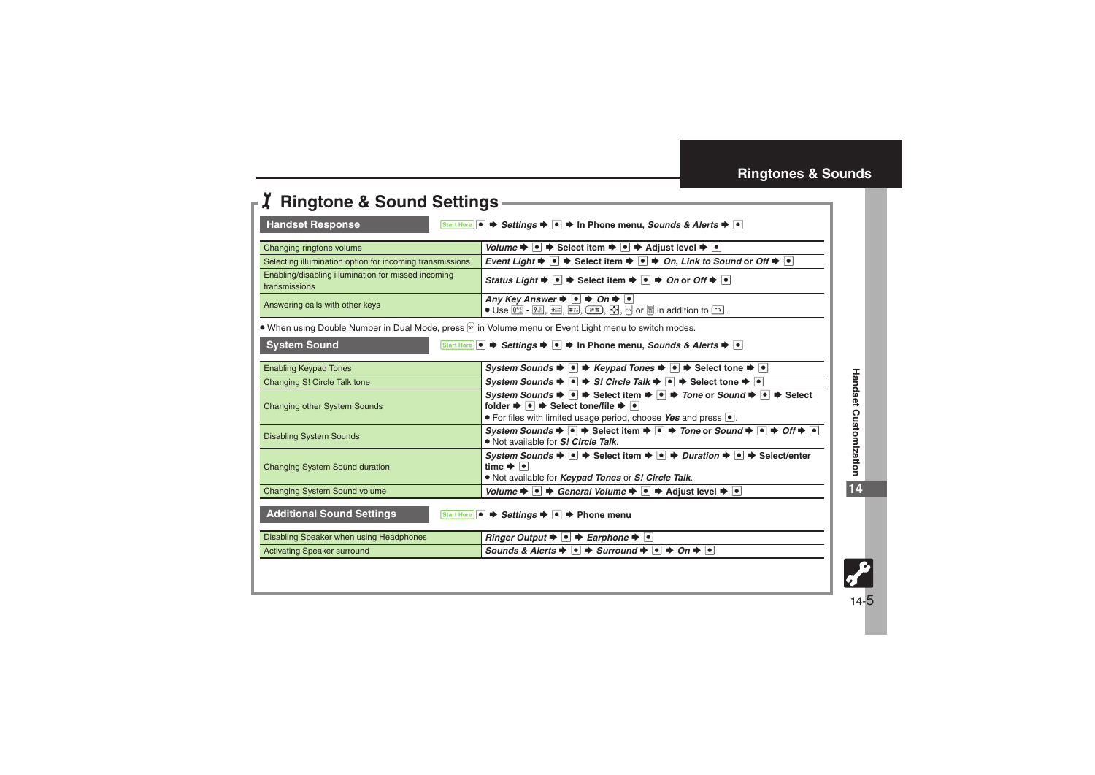## <span id="page-4-0"></span>**Ringtones & Sounds**

<span id="page-4-3"></span><span id="page-4-2"></span><span id="page-4-1"></span>

| <b>Handset Response</b>                                                                                                                                         | Start Here $\bullet \Rightarrow$ Settings $\bullet \bullet \bullet \Rightarrow$ In Phone menu, Sounds & Alerts $\bullet \bullet$                                                                                                                                                                                                                                                                                                                             |
|-----------------------------------------------------------------------------------------------------------------------------------------------------------------|--------------------------------------------------------------------------------------------------------------------------------------------------------------------------------------------------------------------------------------------------------------------------------------------------------------------------------------------------------------------------------------------------------------------------------------------------------------|
|                                                                                                                                                                 | Volume $\blacktriangleright \lceil \bullet \rceil$ $\blacktriangleright$ Select item $\blacktriangleright \lceil \bullet \rceil$ $\blacktriangleright$ Adjust level $\blacktriangleright \lceil \bullet \rceil$                                                                                                                                                                                                                                              |
| Changing ringtone volume<br>Selecting illumination option for incoming transmissions                                                                            | Event Light $\blacktriangleright \lnot \blacktriangleright$ Select item $\blacktriangleright \lnot \blacktriangleright$ On, Link to Sound or Off $\blacktriangleright \lnot \blacktriangleright$                                                                                                                                                                                                                                                             |
| Enabling/disabling illumination for missed incoming<br>transmissions                                                                                            | Status Light $\Rightarrow$ $\bullet$ $\Rightarrow$ Select item $\Rightarrow$ $\bullet$ $\Rightarrow$ On or Off $\Rightarrow$ $\bullet$                                                                                                                                                                                                                                                                                                                       |
| Answering calls with other keys                                                                                                                                 | Any Key Answer $\blacktriangleright$ $\lceil \bullet \rceil$ $\blacktriangleright$ On $\blacktriangleright$ $\lceil \bullet \rceil$<br>$\bullet$ Use $[0^{\circ\circ}]$ - $[9^{\circ\circ}]$ , $\mathbb{R}$ ; $[\mathbb{R}^{\circ}]$ , $[\mathbb{R}^{\circ}]$ , $[\mathbb{S}^{\circ}]$ , $[\mathbb{S}^{\circ}]$ in addition to $\boxed{\cdot\cdot}$ .                                                                                                        |
| • When using Double Number in Dual Mode, press <b>P</b> in Volume menu or Event Light menu to switch modes.                                                     |                                                                                                                                                                                                                                                                                                                                                                                                                                                              |
| <b>System Sound</b><br>Start Here $\ \bullet\  \Rightarrow$ Settings $\Rightarrow  \bullet  \Rightarrow$ In Phone menu, Sounds & Alerts $\Rightarrow  \bullet $ |                                                                                                                                                                                                                                                                                                                                                                                                                                                              |
| <b>Enabling Keypad Tones</b>                                                                                                                                    | System Sounds $\blacklozenge \blacklozenge$ $\blacklozenge$ Keypad Tones $\blacklozenge \blacklozenge$ $\blacklozenge$ Select tone $\blacklozenge \blacklozenge$                                                                                                                                                                                                                                                                                             |
| Changing S! Circle Talk tone                                                                                                                                    | System Sounds $\blacklozenge \lvert \bullet \rvert \Rightarrow S!$ Circle Talk $\blacklozenge \lvert \bullet \rvert \Rightarrow$ Select tone $\blacklozenge \lvert \bullet \rvert$                                                                                                                                                                                                                                                                           |
| <b>Changing other System Sounds</b>                                                                                                                             | System Sounds $\blacktriangleright \lceil \bullet \rceil$ $\blacktriangleright$ Select item $\blacktriangleright \lceil \bullet \rceil$ $\blacktriangleright$ Tone or Sound $\blacktriangleright \lceil \bullet \rceil$ $\blacktriangleright$ Select<br>folder $\blacktriangleright \lceil \bullet \rceil$ $\blacktriangleright$ Select tone/file $\blacktriangleright \lceil \bullet \rceil$<br>• For files with limited usage period, choose Yes and press |
| <b>Disabling System Sounds</b>                                                                                                                                  | System Sounds $\blacktriangleright \lnot \blacktriangleright$ Select item $\blacktriangleright \lnot \blacktriangleright$ Tone or Sound $\blacktriangleright \lnot \blacktriangleright$ Off $\blacktriangleright \lnot$<br>. Not available for S! Circle Talk.                                                                                                                                                                                               |
| <b>Changing System Sound duration</b>                                                                                                                           | System Sounds $\blacktriangleright \lceil \bullet \rceil$ $\blacktriangleright$ Select item $\blacktriangleright \lceil \bullet \rceil$ $\blacktriangleright$ Duration $\blacktriangleright \lceil \bullet \rceil$ $\blacktriangleright$ Select/enter<br>time $\rightarrow$ $\cdot$<br>. Not available for Keypad Tones or S! Circle Talk.                                                                                                                   |
| <b>Changing System Sound volume</b>                                                                                                                             | Volume $\blacktriangleright \lceil \bullet \rceil$ $\blacktriangleright$ General Volume $\blacktriangleright \lceil \bullet \rceil$ $\blacktriangleright$ Adjust level $\blacktriangleright \lceil \bullet \rceil$                                                                                                                                                                                                                                           |
| <b>Additional Sound Settings</b><br>Start Here $\left  \bullet \right $ $\Rightarrow$ Settings $\Rightarrow$ $\left  \bullet \right $ $\Rightarrow$ Phone menu  |                                                                                                                                                                                                                                                                                                                                                                                                                                                              |
| Disabling Speaker when using Headphones                                                                                                                         | Ringer Output $\blacktriangleright$ $\lvert \bullet \rvert$ $\blacktriangleright$ Earphone $\blacktriangleright$ $\lvert \bullet \rvert$                                                                                                                                                                                                                                                                                                                     |
|                                                                                                                                                                 | Sounds & Alerts $\Rightarrow$ $\bullet$ $\Rightarrow$ Surround $\Rightarrow$ $\bullet$ $\Rightarrow$ On $\Rightarrow$ $\bullet$                                                                                                                                                                                                                                                                                                                              |

**Handset Customization**

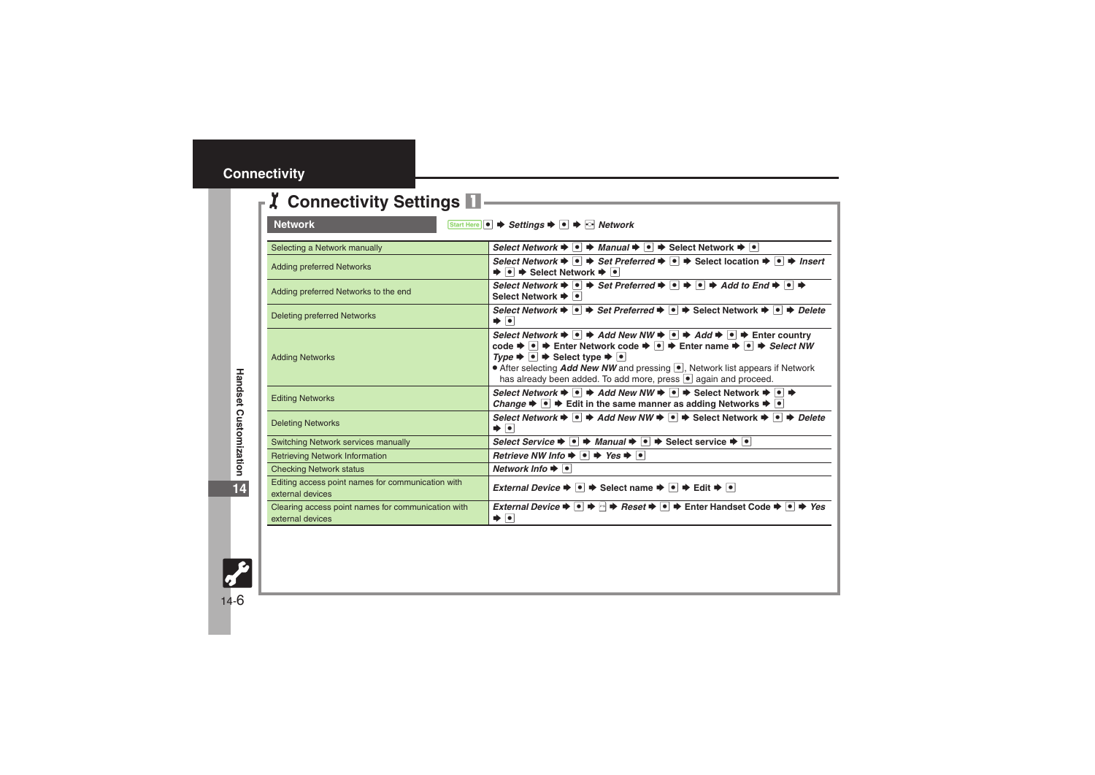## <span id="page-5-0"></span>**Connectivity**

<span id="page-5-1"></span>

| <b>Network</b><br>Start Here $\bullet$ $\bullet$ Settings $\bullet$ $\bullet$ $\bullet$ $\bullet$ Network |                                                                                                                                                                                                                                                                                                                                                                                                                                                                                                                                                                                                                                                    |
|-----------------------------------------------------------------------------------------------------------|----------------------------------------------------------------------------------------------------------------------------------------------------------------------------------------------------------------------------------------------------------------------------------------------------------------------------------------------------------------------------------------------------------------------------------------------------------------------------------------------------------------------------------------------------------------------------------------------------------------------------------------------------|
| Selecting a Network manually                                                                              | Select Network $\blacktriangleright \lceil \bullet \rceil$ $\blacktriangleright$ Manual $\blacktriangleright \lceil \bullet \rceil$ $\blacktriangleright$ Select Network $\blacktriangleright \lceil \bullet \rceil$                                                                                                                                                                                                                                                                                                                                                                                                                               |
| <b>Adding preferred Networks</b>                                                                          | Select Network $\blacktriangleright \lceil \bullet \rceil$ $\blacktriangleright$ Set Preferred $\blacktriangleright \lceil \bullet \rceil$ $\blacktriangleright$ Select location $\blacktriangleright \lceil \bullet \rceil$ $\blacktriangleright$ Insert<br>$\bullet$ $\bullet$ $\bullet$ Select Network $\bullet$ $\bullet$                                                                                                                                                                                                                                                                                                                      |
| Adding preferred Networks to the end                                                                      | Select Network $\blacktriangleright \lceil \bullet \rceil$ $\blacktriangleright$ Set Preferred $\blacktriangleright \lceil \bullet \rceil$ $\blacktriangleright$ $\lceil \bullet \rceil$ $\blacktriangleright$ Add to End $\blacktriangleright$ $\lceil \bullet \rceil$<br>Select Network → •                                                                                                                                                                                                                                                                                                                                                      |
| <b>Deleting preferred Networks</b>                                                                        | Select Network $\blacktriangleright$ $\lnot \blacktriangleright$ Set Preferred $\blacktriangleright$ $\lnot \blacktriangleright$ Select Network $\blacktriangleright$ $\lnot \blacktriangleright$ Delete<br>∙∣∙                                                                                                                                                                                                                                                                                                                                                                                                                                    |
| <b>Adding Networks</b>                                                                                    | Select Network $\blacktriangleright \lceil \bullet \rceil$ $\blacktriangleright$ Add New NW $\blacktriangleright \lceil \bullet \rceil$ $\blacktriangleright$ Add $\blacktriangleright \lceil \bullet \rceil$ $\blacktriangleright$ Enter country<br>code $\bigstar$ $\bullet$ $\bigstar$ Enter Network code $\bigstar$ $\bigstar$ Enter name $\bigstar$ $\bigstar$ $\bigstar$ Select NW<br>$Type \rightarrow \bullet \Rightarrow$ Select type $\rightarrow \bullet$<br>• After selecting <i>Add New NW</i> and pressing <sup>1</sup> , Network list appears if Network<br>has already been added. To add more, press $\bullet$ again and proceed. |
| <b>Editing Networks</b>                                                                                   | Select Network $\blacktriangleright \lceil \bullet \rceil$ $\blacktriangleright$ Add New NW $\blacktriangleright \lceil \bullet \rceil$ $\blacktriangleright$ Select Network $\blacktriangleright \lceil \bullet \rceil$ $\blacktriangleright$<br>Change $\blacktriangleright \lnot \blacktriangleright$ Edit in the same manner as adding Networks $\blacktriangleright \lnot$                                                                                                                                                                                                                                                                    |
| <b>Deleting Networks</b>                                                                                  | Select Network $\blacktriangleright \lceil \bullet \rceil$ $\blacktriangleright$ Add New NW $\blacktriangleright \lceil \bullet \rceil$ $\blacktriangleright$ Select Network $\blacktriangleright \lceil \bullet \rceil$ $\blacktriangleright$ Delete<br>। ♦                                                                                                                                                                                                                                                                                                                                                                                       |
| Switching Network services manually                                                                       | Select Service $\blacktriangleright \lceil \bullet \rceil$ $\blacktriangleright$ Manual $\blacktriangleright \lceil \bullet \rceil$ $\blacktriangleright$ Select service $\blacktriangleright \lceil \bullet \rceil$                                                                                                                                                                                                                                                                                                                                                                                                                               |
| <b>Retrieving Network Information</b>                                                                     | Retrieve NW Info $\rightarrow$ $\rightarrow$ Yes $\rightarrow$ $\rightarrow$                                                                                                                                                                                                                                                                                                                                                                                                                                                                                                                                                                       |
| <b>Checking Network status</b>                                                                            | Network Info $\bigtriangledown$ $\bigtriangledown$                                                                                                                                                                                                                                                                                                                                                                                                                                                                                                                                                                                                 |
| Editing access point names for communication with<br>external devices                                     | <i>External Device</i> $\Rightarrow$ $\bullet$ $\Rightarrow$ Select name $\Rightarrow$ $\bullet$ $\Rightarrow$ Edit $\Rightarrow$ $\bullet$                                                                                                                                                                                                                                                                                                                                                                                                                                                                                                        |
| Clearing access point names for communication with<br>external devices                                    | <i>External Device</i> $\blacktriangleright$ $\lceil \bullet \rceil$ $\blacktriangleright$ <i>Reset</i> $\blacktriangleright$ $\lceil \bullet \rceil$ $\blacktriangleright$ Enter Handset Code $\blacktriangleright$ $\lceil \bullet \rceil$ $\blacktriangleright$ <i>Yes</i><br>∙[∙                                                                                                                                                                                                                                                                                                                                                               |

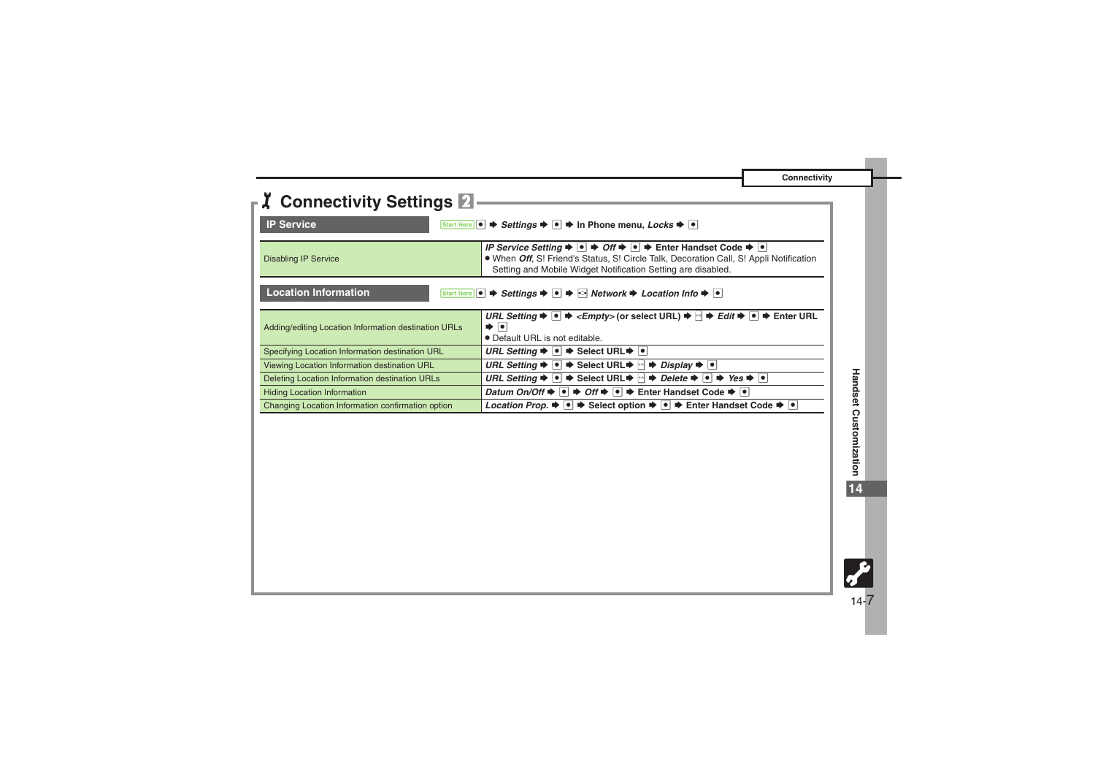**Connectivity**

<span id="page-6-1"></span><span id="page-6-0"></span>

| <b>Z</b> Connectivity Settings 2                                                                                                                                   |                                                                                                                                                                                                                                                                                                                                                          |
|--------------------------------------------------------------------------------------------------------------------------------------------------------------------|----------------------------------------------------------------------------------------------------------------------------------------------------------------------------------------------------------------------------------------------------------------------------------------------------------------------------------------------------------|
| <b>IP Service</b>                                                                                                                                                  | Start Here $\bullet \Rightarrow$ Settings $\bullet \bullet \bullet$ In Phone menu, Locks $\bullet \bullet$                                                                                                                                                                                                                                               |
| <b>Disabling IP Service</b>                                                                                                                                        | IP Service Setting $\Rightarrow$ $\bullet$ $\Rightarrow$ Off $\Rightarrow$ $\bullet$ $\Rightarrow$ Enter Handset Code $\Rightarrow$ $\bullet$<br>. When Off. S! Friend's Status, S! Circle Talk, Decoration Call, S! Appli Notification<br>Setting and Mobile Widget Notification Setting are disabled.                                                  |
| <b>Location Information</b><br>Start Here $\bullet$ $\bullet$ Settings $\bullet$ $\bullet$ $\bullet$ $\bullet$ Network $\bullet$ Location Info $\bullet$ $\bullet$ |                                                                                                                                                                                                                                                                                                                                                          |
| Adding/editing Location Information destination URLs                                                                                                               | URL Setting $\blacktriangleright$ $\blacksquare$ $\blacktriangleright$ <empty> (or select URL) <math>\blacktriangleright</math> <math>\blacksquare</math> <math>\blacktriangleright</math> Edit <math>\blacktriangleright</math> <math>\blacksquare</math> <math>\blacktriangleright</math> Enter URL<br/>∙∣∙<br/>• Default URL is not editable.</empty> |
| Specifying Location Information destination URL                                                                                                                    | URL Setting $\blacktriangleright$ $\blacktriangleright$ $\blacktriangleright$ Select URL $\blacktriangleright$ $\blacktriangleright$ $\blacktriangleright$                                                                                                                                                                                               |
| Viewing Location Information destination URL                                                                                                                       | <i>URL Setting</i> $\rightarrow$ $\bullet$ $\rightarrow$ Select URL $\rightarrow$ $\rightarrow$ <i>Display</i> $\rightarrow$ $\bullet$                                                                                                                                                                                                                   |
| Deleting Location Information destination URLs                                                                                                                     | <i>URL Setting</i> $\blacktriangleright$ $\blacksquare$ $\blacktriangleright$ Select URL $\blacktriangleright$ $\blacksquare$ $\blacktriangleright$ <i>Delete</i> $\blacktriangleright$ $\blacksquare$ $\blacktriangleright$ <i>Yes</i> $\blacktriangleright$ $\blacksquare$                                                                             |
| <b>Hiding Location Information</b>                                                                                                                                 | <i>Datum On/Off</i> $\rightarrow$ $\bullet$ $\rightarrow$ <i>Off</i> $\rightarrow$ $\bullet$ $\rightarrow$ Enter Handset Code $\rightarrow$ $\bullet$                                                                                                                                                                                                    |
| Changing Location Information confirmation option                                                                                                                  | <i>Location Prop.</i> $\blacktriangleright \lceil \bullet \rceil$ $\blacktriangleright$ Select option $\blacktriangleright \lceil \bullet \rceil$ $\blacktriangleright$ Enter Handset Code $\blacktriangleright \lceil \bullet \rceil$                                                                                                                   |